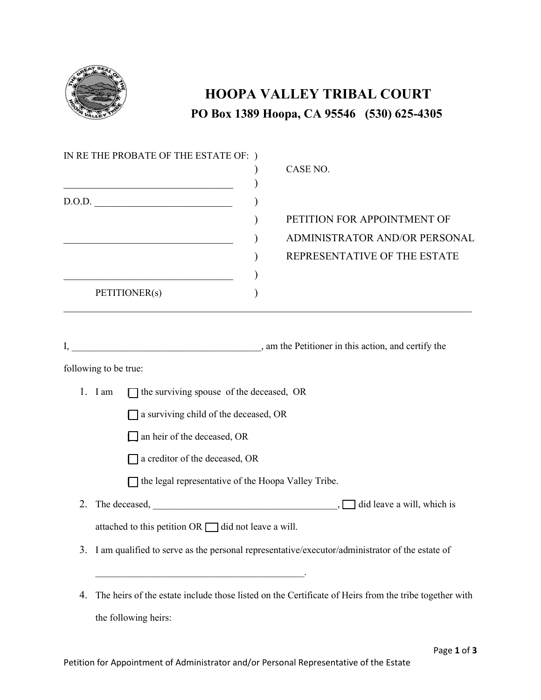

## **HOOPA VALLEY TRIBAL COURT PO Box 1389 Hoopa, CA 95546 (530) 625-4305**

|    | IN RE THE PROBATE OF THE ESTATE OF: )<br><u> 1989 - Johann Barn, mars ann an t-Amhraich an t-Amhraich an t-Amhraich ann an t-Amhraich ann an t-Amhraich an</u> | CASE NO.                                                                                              |  |
|----|----------------------------------------------------------------------------------------------------------------------------------------------------------------|-------------------------------------------------------------------------------------------------------|--|
|    | D.O.D.<br><u> 1980 - Johann Barn, amerikansk politiker (d. 1980)</u><br>PETITIONER(s)                                                                          | PETITION FOR APPOINTMENT OF<br>ADMINISTRATOR AND/OR PERSONAL<br>REPRESENTATIVE OF THE ESTATE          |  |
|    |                                                                                                                                                                |                                                                                                       |  |
|    | following to be true:                                                                                                                                          |                                                                                                       |  |
|    | 1. I am<br>$\Box$ the surviving spouse of the deceased, OR                                                                                                     |                                                                                                       |  |
|    | $\Box$ a surviving child of the deceased, OR                                                                                                                   |                                                                                                       |  |
|    | $\Box$ an heir of the deceased, OR                                                                                                                             |                                                                                                       |  |
|    | a creditor of the deceased, OR                                                                                                                                 |                                                                                                       |  |
|    | $\Box$ the legal representative of the Hoopa Valley Tribe.                                                                                                     |                                                                                                       |  |
| 2. |                                                                                                                                                                |                                                                                                       |  |
|    | attached to this petition $OR$ $\Box$ did not leave a will.                                                                                                    |                                                                                                       |  |
|    | 3. I am qualified to serve as the personal representative/executor/administrator of the estate of                                                              |                                                                                                       |  |
| 4. |                                                                                                                                                                | The heirs of the estate include those listed on the Certificate of Heirs from the tribe together with |  |

the following heirs: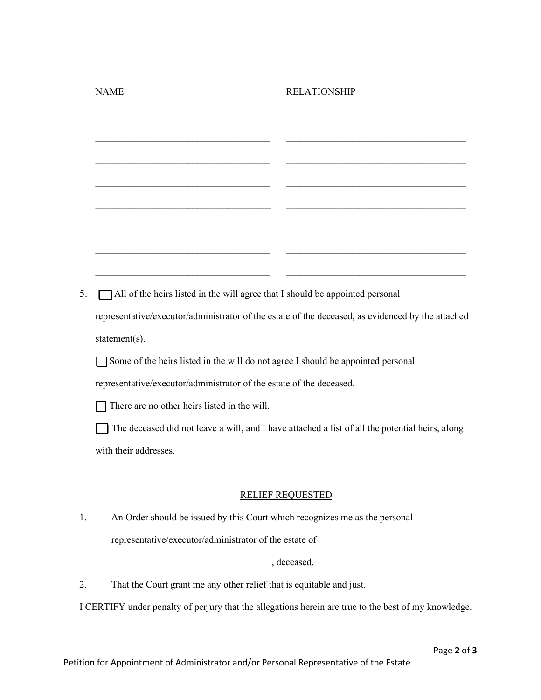|    | <b>NAME</b>                                                                                       | <b>RELATIONSHIP</b> |  |  |
|----|---------------------------------------------------------------------------------------------------|---------------------|--|--|
|    |                                                                                                   |                     |  |  |
|    |                                                                                                   |                     |  |  |
|    |                                                                                                   |                     |  |  |
|    |                                                                                                   |                     |  |  |
|    |                                                                                                   |                     |  |  |
|    |                                                                                                   |                     |  |  |
|    |                                                                                                   |                     |  |  |
|    |                                                                                                   |                     |  |  |
| 5. | All of the heirs listed in the will agree that I should be appointed personal                     |                     |  |  |
|    | representative/executor/administrator of the estate of the deceased, as evidenced by the attached |                     |  |  |
|    | statement(s).                                                                                     |                     |  |  |
|    | Some of the heirs listed in the will do not agree I should be appointed personal                  |                     |  |  |
|    | representative/executor/administrator of the estate of the deceased.                              |                     |  |  |
|    | There are no other heirs listed in the will.                                                      |                     |  |  |
|    | The deceased did not leave a will, and I have attached a list of all the potential heirs, along   |                     |  |  |
|    | with their addresses.                                                                             |                     |  |  |
|    |                                                                                                   |                     |  |  |
|    | <b>RELIEF REQUESTED</b>                                                                           |                     |  |  |
| 1. | An Order should be issued by this Court which recognizes me as the personal                       |                     |  |  |
|    | representative/executor/administrator of the estate of                                            |                     |  |  |
|    |                                                                                                   |                     |  |  |

 $\qquad \qquad \ldots \qquad$ , deceased.

2. That the Court grant me any other relief that is equitable and just.

I CERTIFY under penalty of perjury that the allegations herein are true to the best of my knowledge.